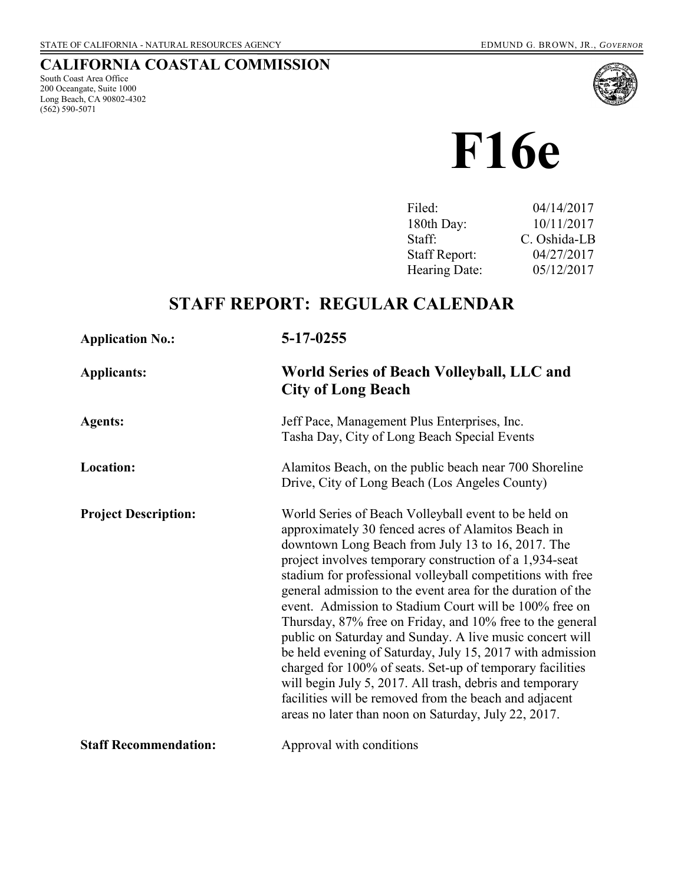### **CALIFORNIA COASTAL COMMISSION**

South Coast Area Office 200 Oceangate, Suite 1000 Long Beach, CA 90802-4302 (562) 590-5071



# **F16e**

| Filed:               | 04/14/2017   |
|----------------------|--------------|
| 180th Day:           | 10/11/2017   |
| Staff:               | C. Oshida-LB |
| <b>Staff Report:</b> | 04/27/2017   |
| Hearing Date:        | 05/12/2017   |
|                      |              |

# **STAFF REPORT: REGULAR CALENDAR**

| <b>Application No.:</b>      | 5-17-0255<br>World Series of Beach Volleyball, LLC and<br><b>City of Long Beach</b><br>Jeff Pace, Management Plus Enterprises, Inc.<br>Tasha Day, City of Long Beach Special Events                                                                                                                                                                                                                                                                                                                                                                                                                                                                                                                                                                                                                                                                |  |
|------------------------------|----------------------------------------------------------------------------------------------------------------------------------------------------------------------------------------------------------------------------------------------------------------------------------------------------------------------------------------------------------------------------------------------------------------------------------------------------------------------------------------------------------------------------------------------------------------------------------------------------------------------------------------------------------------------------------------------------------------------------------------------------------------------------------------------------------------------------------------------------|--|
| <b>Applicants:</b>           |                                                                                                                                                                                                                                                                                                                                                                                                                                                                                                                                                                                                                                                                                                                                                                                                                                                    |  |
| <b>Agents:</b>               |                                                                                                                                                                                                                                                                                                                                                                                                                                                                                                                                                                                                                                                                                                                                                                                                                                                    |  |
| Location:                    | Alamitos Beach, on the public beach near 700 Shoreline<br>Drive, City of Long Beach (Los Angeles County)                                                                                                                                                                                                                                                                                                                                                                                                                                                                                                                                                                                                                                                                                                                                           |  |
| <b>Project Description:</b>  | World Series of Beach Volleyball event to be held on<br>approximately 30 fenced acres of Alamitos Beach in<br>downtown Long Beach from July 13 to 16, 2017. The<br>project involves temporary construction of a 1,934-seat<br>stadium for professional volleyball competitions with free<br>general admission to the event area for the duration of the<br>event. Admission to Stadium Court will be 100% free on<br>Thursday, 87% free on Friday, and 10% free to the general<br>public on Saturday and Sunday. A live music concert will<br>be held evening of Saturday, July 15, 2017 with admission<br>charged for 100% of seats. Set-up of temporary facilities<br>will begin July 5, 2017. All trash, debris and temporary<br>facilities will be removed from the beach and adjacent<br>areas no later than noon on Saturday, July 22, 2017. |  |
| <b>Staff Recommendation:</b> | Approval with conditions                                                                                                                                                                                                                                                                                                                                                                                                                                                                                                                                                                                                                                                                                                                                                                                                                           |  |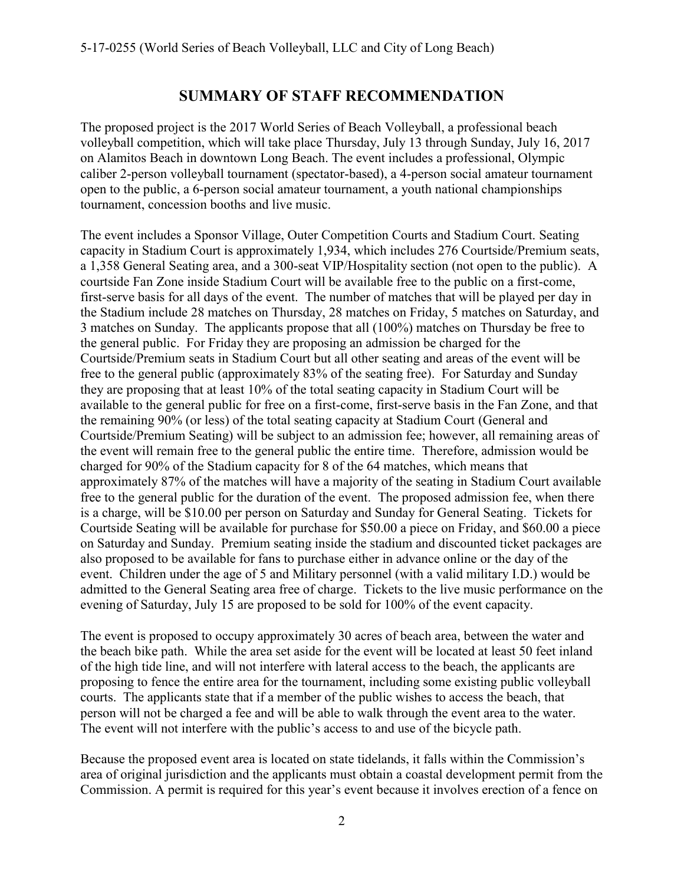#### **SUMMARY OF STAFF RECOMMENDATION**

The proposed project is the 2017 World Series of Beach Volleyball, a professional beach volleyball competition, which will take place Thursday, July 13 through Sunday, July 16, 2017 on Alamitos Beach in downtown Long Beach. The event includes a professional, Olympic caliber 2-person volleyball tournament (spectator-based), a 4-person social amateur tournament open to the public, a 6-person social amateur tournament, a youth national championships tournament, concession booths and live music.

The event includes a Sponsor Village, Outer Competition Courts and Stadium Court. Seating capacity in Stadium Court is approximately 1,934, which includes 276 Courtside/Premium seats, a 1,358 General Seating area, and a 300-seat VIP/Hospitality section (not open to the public). A courtside Fan Zone inside Stadium Court will be available free to the public on a first-come, first-serve basis for all days of the event. The number of matches that will be played per day in the Stadium include 28 matches on Thursday, 28 matches on Friday, 5 matches on Saturday, and 3 matches on Sunday. The applicants propose that all (100%) matches on Thursday be free to the general public. For Friday they are proposing an admission be charged for the Courtside/Premium seats in Stadium Court but all other seating and areas of the event will be free to the general public (approximately 83% of the seating free). For Saturday and Sunday they are proposing that at least 10% of the total seating capacity in Stadium Court will be available to the general public for free on a first-come, first-serve basis in the Fan Zone, and that the remaining 90% (or less) of the total seating capacity at Stadium Court (General and Courtside/Premium Seating) will be subject to an admission fee; however, all remaining areas of the event will remain free to the general public the entire time. Therefore, admission would be charged for 90% of the Stadium capacity for 8 of the 64 matches, which means that approximately 87% of the matches will have a majority of the seating in Stadium Court available free to the general public for the duration of the event. The proposed admission fee, when there is a charge, will be \$10.00 per person on Saturday and Sunday for General Seating. Tickets for Courtside Seating will be available for purchase for \$50.00 a piece on Friday, and \$60.00 a piece on Saturday and Sunday. Premium seating inside the stadium and discounted ticket packages are also proposed to be available for fans to purchase either in advance online or the day of the event. Children under the age of 5 and Military personnel (with a valid military I.D.) would be admitted to the General Seating area free of charge. Tickets to the live music performance on the evening of Saturday, July 15 are proposed to be sold for 100% of the event capacity.

The event is proposed to occupy approximately 30 acres of beach area, between the water and the beach bike path. While the area set aside for the event will be located at least 50 feet inland of the high tide line, and will not interfere with lateral access to the beach, the applicants are proposing to fence the entire area for the tournament, including some existing public volleyball courts. The applicants state that if a member of the public wishes to access the beach, that person will not be charged a fee and will be able to walk through the event area to the water. The event will not interfere with the public's access to and use of the bicycle path.

Because the proposed event area is located on state tidelands, it falls within the Commission's area of original jurisdiction and the applicants must obtain a coastal development permit from the Commission. A permit is required for this year's event because it involves erection of a fence on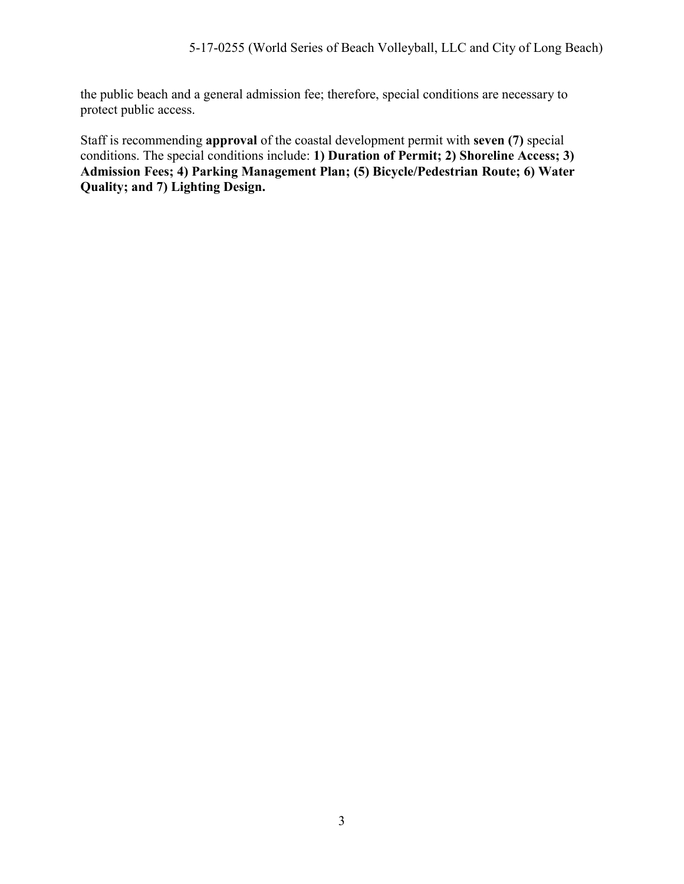the public beach and a general admission fee; therefore, special conditions are necessary to protect public access.

Staff is recommending **approval** of the coastal development permit with **seven (7)** special conditions. The special conditions include: **1) Duration of Permit; 2) Shoreline Access; 3) Admission Fees; 4) Parking Management Plan; (5) Bicycle/Pedestrian Route; 6) Water Quality; and 7) Lighting Design.**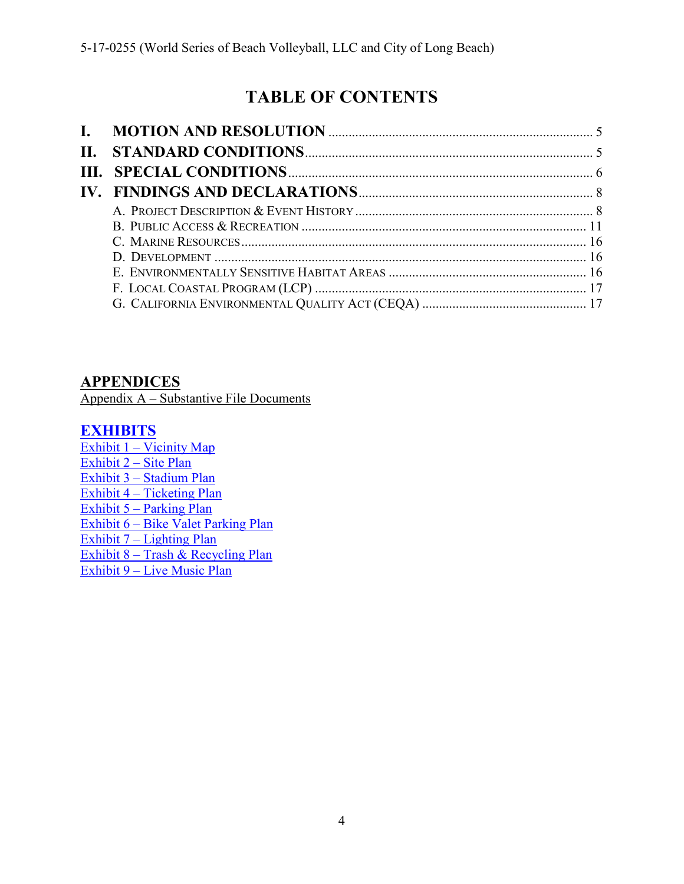# **TABLE OF CONTENTS**

# **[APPENDICES](#page-16-2)**

Appendix A – [Substantive File Documents](#page-16-2) 

# **[EXHIBITS](https://documents.coastal.ca.gov/reports/2017/5/F16e/F16e-5-2017-exhibits.pdf)**

Exhibit 1 – Vicinity Map [Exhibit 2 –](https://documents.coastal.ca.gov/reports/2017/5/F16e/F16e-5-2017-exhibits.pdf) Site Plan Exhibit 3 – [Stadium Plan](https://documents.coastal.ca.gov/reports/2017/5/F16e/F16e-5-2017-exhibits.pdf) Exhibit 4 – [Ticketing Plan](https://documents.coastal.ca.gov/reports/2017/5/F16e/F16e-5-2017-exhibits.pdf) Exhibit 5 – [Parking Plan](https://documents.coastal.ca.gov/reports/2017/5/F16e/F16e-5-2017-exhibits.pdf) Exhibit 6 – [Bike Valet Parking Plan](https://documents.coastal.ca.gov/reports/2017/5/F16e/F16e-5-2017-exhibits.pdf)  [Exhibit 7 – Lighting Plan](https://documents.coastal.ca.gov/reports/2017/5/F16e/F16e-5-2017-exhibits.pdf)  Exhibit 8 – [Trash & Recycling Plan](https://documents.coastal.ca.gov/reports/2017/5/F16e/F16e-5-2017-exhibits.pdf)  Exhibit 9 [– Live Music Plan](https://documents.coastal.ca.gov/reports/2017/5/F16e/F16e-5-2017-exhibits.pdf)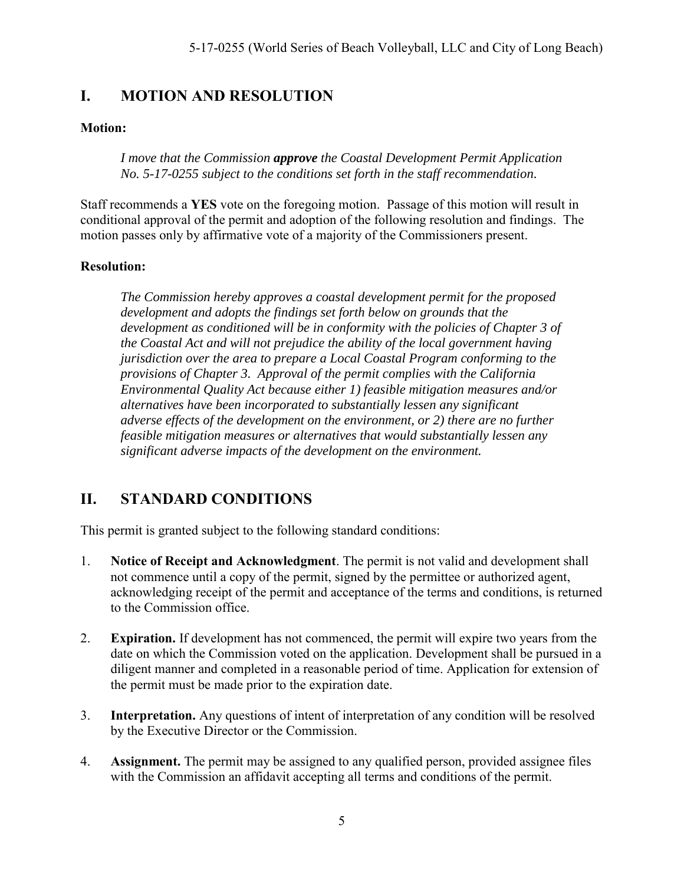# <span id="page-4-0"></span>**I. MOTION AND RESOLUTION**

#### **Motion:**

*I move that the Commission approve the Coastal Development Permit Application No. 5-17-0255 subject to the conditions set forth in the staff recommendation.*

Staff recommends a **YES** vote on the foregoing motion. Passage of this motion will result in conditional approval of the permit and adoption of the following resolution and findings. The motion passes only by affirmative vote of a majority of the Commissioners present.

#### **Resolution:**

*The Commission hereby approves a coastal development permit for the proposed development and adopts the findings set forth below on grounds that the development as conditioned will be in conformity with the policies of Chapter 3 of the Coastal Act and will not prejudice the ability of the local government having jurisdiction over the area to prepare a Local Coastal Program conforming to the provisions of Chapter 3. Approval of the permit complies with the California Environmental Quality Act because either 1) feasible mitigation measures and/or alternatives have been incorporated to substantially lessen any significant adverse effects of the development on the environment, or 2) there are no further feasible mitigation measures or alternatives that would substantially lessen any significant adverse impacts of the development on the environment.* 

# <span id="page-4-1"></span>**II. STANDARD CONDITIONS**

This permit is granted subject to the following standard conditions:

- 1. **Notice of Receipt and Acknowledgment**. The permit is not valid and development shall not commence until a copy of the permit, signed by the permittee or authorized agent, acknowledging receipt of the permit and acceptance of the terms and conditions, is returned to the Commission office.
- 2. **Expiration.** If development has not commenced, the permit will expire two years from the date on which the Commission voted on the application. Development shall be pursued in a diligent manner and completed in a reasonable period of time. Application for extension of the permit must be made prior to the expiration date.
- 3. **Interpretation.** Any questions of intent of interpretation of any condition will be resolved by the Executive Director or the Commission.
- 4. **Assignment.** The permit may be assigned to any qualified person, provided assignee files with the Commission an affidavit accepting all terms and conditions of the permit.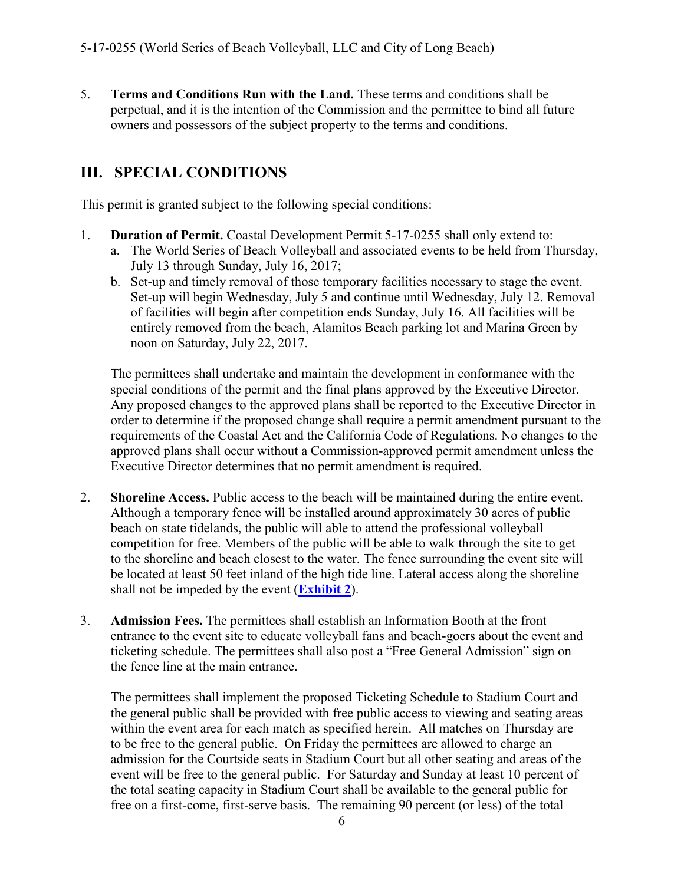5. **Terms and Conditions Run with the Land.** These terms and conditions shall be perpetual, and it is the intention of the Commission and the permittee to bind all future owners and possessors of the subject property to the terms and conditions.

## <span id="page-5-0"></span>**III. SPECIAL CONDITIONS**

This permit is granted subject to the following special conditions:

- 1. **Duration of Permit.** Coastal Development Permit 5-17-0255 shall only extend to:
	- a. The World Series of Beach Volleyball and associated events to be held from Thursday, July 13 through Sunday, July 16, 2017;
	- b. Set-up and timely removal of those temporary facilities necessary to stage the event. Set-up will begin Wednesday, July 5 and continue until Wednesday, July 12. Removal of facilities will begin after competition ends Sunday, July 16. All facilities will be entirely removed from the beach, Alamitos Beach parking lot and Marina Green by noon on Saturday, July 22, 2017.

The permittees shall undertake and maintain the development in conformance with the special conditions of the permit and the final plans approved by the Executive Director. Any proposed changes to the approved plans shall be reported to the Executive Director in order to determine if the proposed change shall require a permit amendment pursuant to the requirements of the Coastal Act and the California Code of Regulations. No changes to the approved plans shall occur without a Commission-approved permit amendment unless the Executive Director determines that no permit amendment is required.

- 2. **Shoreline Access.** Public access to the beach will be maintained during the entire event. Although a temporary fence will be installed around approximately 30 acres of public beach on state tidelands, the public will able to attend the professional volleyball competition for free. Members of the public will be able to walk through the site to get to the shoreline and beach closest to the water. The fence surrounding the event site will be located at least 50 feet inland of the high tide line. Lateral access along the shoreline shall not be impeded by the event (**[Exhibit 2](https://documents.coastal.ca.gov/reports/2017/5/F16e/F16e-5-2017-exhibits.pdf)**).
- 3. **Admission Fees.** The permittees shall establish an Information Booth at the front entrance to the event site to educate volleyball fans and beach-goers about the event and ticketing schedule. The permittees shall also post a "Free General Admission" sign on the fence line at the main entrance.

 The permittees shall implement the proposed Ticketing Schedule to Stadium Court and the general public shall be provided with free public access to viewing and seating areas within the event area for each match as specified herein. All matches on Thursday are to be free to the general public. On Friday the permittees are allowed to charge an admission for the Courtside seats in Stadium Court but all other seating and areas of the event will be free to the general public. For Saturday and Sunday at least 10 percent of the total seating capacity in Stadium Court shall be available to the general public for free on a first-come, first-serve basis. The remaining 90 percent (or less) of the total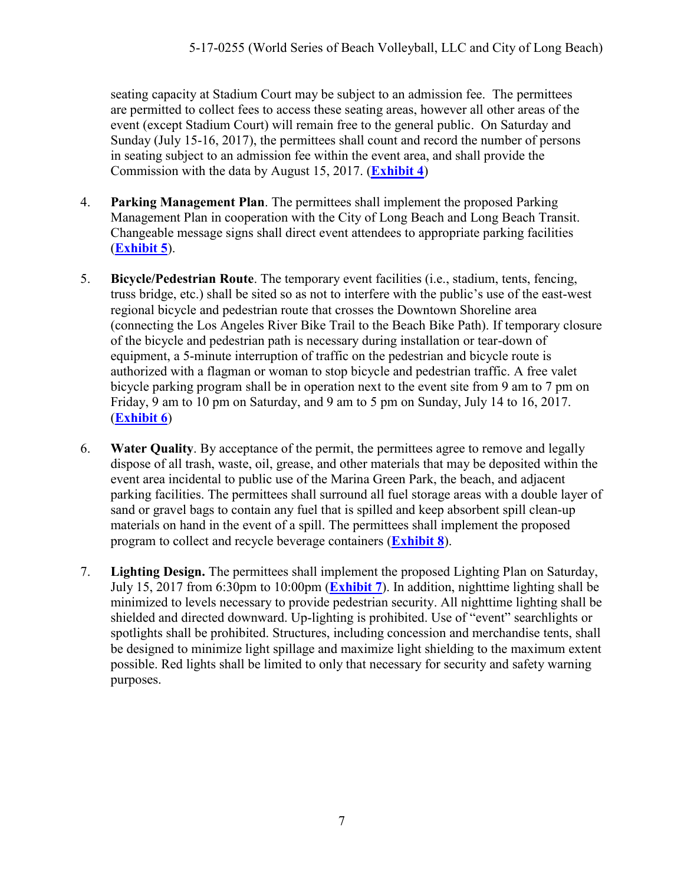seating capacity at Stadium Court may be subject to an admission fee. The permittees are permitted to collect fees to access these seating areas, however all other areas of the event (except Stadium Court) will remain free to the general public. On Saturday and Sunday (July 15-16, 2017), the permittees shall count and record the number of persons in seating subject to an admission fee within the event area, and shall provide the Commission with the data by August 15, 2017. (**[Exhibit 4](https://documents.coastal.ca.gov/reports/2017/5/F16e/F16e-5-2017-exhibits.pdf)**)

- 4. **Parking Management Plan**. The permittees shall implement the proposed Parking Management Plan in cooperation with the City of Long Beach and Long Beach Transit. Changeable message signs shall direct event attendees to appropriate parking facilities (**[Exhibit 5](https://documents.coastal.ca.gov/reports/2017/5/F16e/F16e-5-2017-exhibits.pdf)**).
- 5. **Bicycle/Pedestrian Route**. The temporary event facilities (i.e., stadium, tents, fencing, truss bridge, etc.) shall be sited so as not to interfere with the public's use of the east-west regional bicycle and pedestrian route that crosses the Downtown Shoreline area (connecting the Los Angeles River Bike Trail to the Beach Bike Path). If temporary closure of the bicycle and pedestrian path is necessary during installation or tear-down of equipment, a 5-minute interruption of traffic on the pedestrian and bicycle route is authorized with a flagman or woman to stop bicycle and pedestrian traffic. A free valet bicycle parking program shall be in operation next to the event site from 9 am to 7 pm on Friday, 9 am to 10 pm on Saturday, and 9 am to 5 pm on Sunday, July 14 to 16, 2017. (**[Exhibit 6](https://documents.coastal.ca.gov/reports/2017/5/F16e/F16e-5-2017-exhibits.pdf)**)
- 6. **Water Quality**. By acceptance of the permit, the permittees agree to remove and legally dispose of all trash, waste, oil, grease, and other materials that may be deposited within the event area incidental to public use of the Marina Green Park, the beach, and adjacent parking facilities. The permittees shall surround all fuel storage areas with a double layer of sand or gravel bags to contain any fuel that is spilled and keep absorbent spill clean-up materials on hand in the event of a spill. The permittees shall implement the proposed program to collect and recycle beverage containers (**[Exhibit 8](https://documents.coastal.ca.gov/reports/2017/5/F16e/F16e-5-2017-exhibits.pdf)**).
- <span id="page-6-0"></span>7. **Lighting Design.** The permittees shall implement the proposed Lighting Plan on Saturday, July 15, 2017 from 6:30pm to 10:00pm (**[Exhibit 7](https://documents.coastal.ca.gov/reports/2017/5/F16e/F16e-5-2017-exhibits.pdf)**). In addition, nighttime lighting shall be minimized to levels necessary to provide pedestrian security. All nighttime lighting shall be shielded and directed downward. Up-lighting is prohibited. Use of "event" searchlights or spotlights shall be prohibited. Structures, including concession and merchandise tents, shall be designed to minimize light spillage and maximize light shielding to the maximum extent possible. Red lights shall be limited to only that necessary for security and safety warning purposes.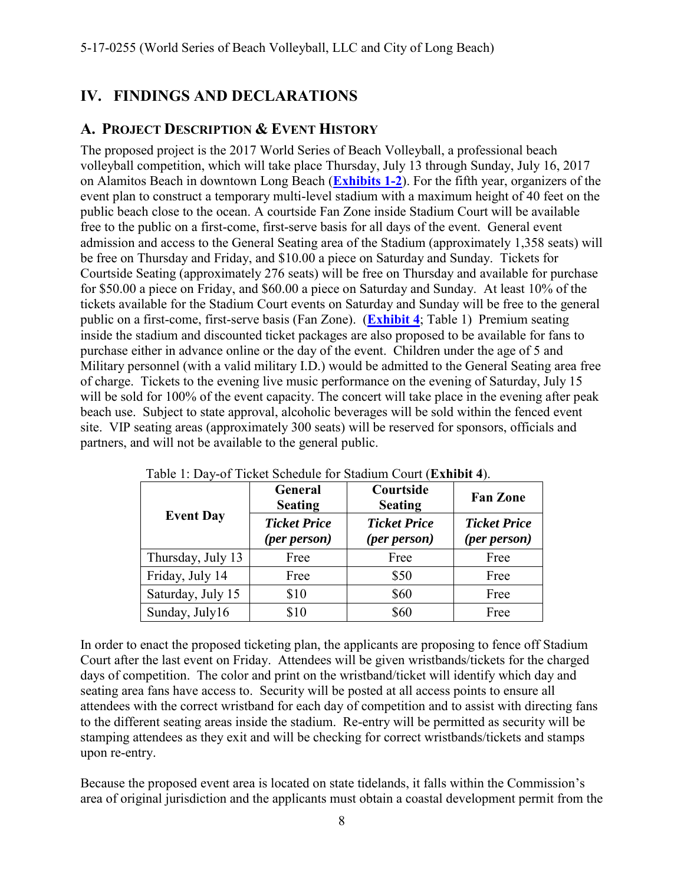# **IV. FINDINGS AND DECLARATIONS**

#### <span id="page-7-0"></span>**A. PROJECT DESCRIPTION & EVENT HISTORY**

The proposed project is the 2017 World Series of Beach Volleyball, a professional beach volleyball competition, which will take place Thursday, July 13 through Sunday, July 16, 2017 on Alamitos Beach in downtown Long Beach (**[Exhibits 1-2](https://documents.coastal.ca.gov/reports/2017/5/F16e/F16e-5-2017-exhibits.pdf)**). For the fifth year, organizers of the event plan to construct a temporary multi-level stadium with a maximum height of 40 feet on the public beach close to the ocean. A courtside Fan Zone inside Stadium Court will be available free to the public on a first-come, first-serve basis for all days of the event. General event admission and access to the General Seating area of the Stadium (approximately 1,358 seats) will be free on Thursday and Friday, and \$10.00 a piece on Saturday and Sunday. Tickets for Courtside Seating (approximately 276 seats) will be free on Thursday and available for purchase for \$50.00 a piece on Friday, and \$60.00 a piece on Saturday and Sunday. At least 10% of the tickets available for the Stadium Court events on Saturday and Sunday will be free to the general public on a first-come, first-serve basis (Fan Zone). (**[Exhibit](https://documents.coastal.ca.gov/reports/2017/5/F16e/F16e-5-2017-exhibits.pdf) 4**; Table 1) Premium seating inside the stadium and discounted ticket packages are also proposed to be available for fans to purchase either in advance online or the day of the event. Children under the age of 5 and Military personnel (with a valid military I.D.) would be admitted to the General Seating area free of charge. Tickets to the evening live music performance on the evening of Saturday, July 15 will be sold for 100% of the event capacity. The concert will take place in the evening after peak beach use. Subject to state approval, alcoholic beverages will be sold within the fenced event site. VIP seating areas (approximately 300 seats) will be reserved for sponsors, officials and partners, and will not be available to the general public.

|                   | <b>General</b><br><b>Seating</b>    | Courtside<br><b>Seating</b>         | <b>Fan Zone</b>                     |  |
|-------------------|-------------------------------------|-------------------------------------|-------------------------------------|--|
| <b>Event Day</b>  | <b>Ticket Price</b><br>(per person) | <b>Ticket Price</b><br>(per person) | <b>Ticket Price</b><br>(per person) |  |
| Thursday, July 13 | Free                                | Free                                | Free                                |  |
| Friday, July 14   | Free                                | \$50                                | Free                                |  |
| Saturday, July 15 | \$10                                | \$60                                | Free                                |  |
| Sunday, July16    | \$10                                | \$60                                | Free                                |  |

Table 1: Day-of Ticket Schedule for Stadium Court (**Exhibit 4**).

In order to enact the proposed ticketing plan, the applicants are proposing to fence off Stadium Court after the last event on Friday. Attendees will be given wristbands/tickets for the charged days of competition. The color and print on the wristband/ticket will identify which day and seating area fans have access to. Security will be posted at all access points to ensure all attendees with the correct wristband for each day of competition and to assist with directing fans to the different seating areas inside the stadium. Re-entry will be permitted as security will be stamping attendees as they exit and will be checking for correct wristbands/tickets and stamps upon re-entry.

Because the proposed event area is located on state tidelands, it falls within the Commission's area of original jurisdiction and the applicants must obtain a coastal development permit from the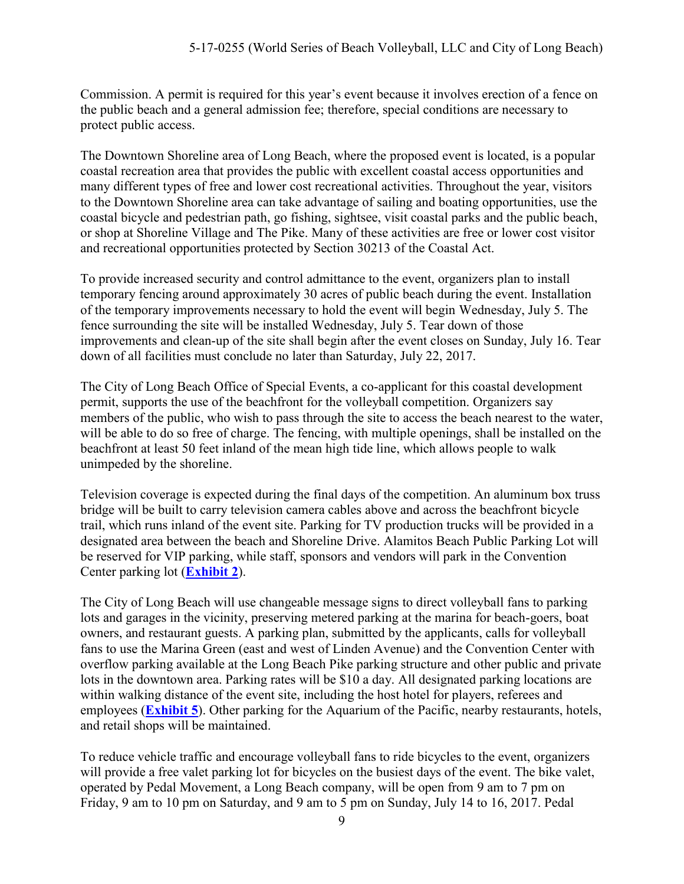Commission. A permit is required for this year's event because it involves erection of a fence on the public beach and a general admission fee; therefore, special conditions are necessary to protect public access.

The Downtown Shoreline area of Long Beach, where the proposed event is located, is a popular coastal recreation area that provides the public with excellent coastal access opportunities and many different types of free and lower cost recreational activities. Throughout the year, visitors to the Downtown Shoreline area can take advantage of sailing and boating opportunities, use the coastal bicycle and pedestrian path, go fishing, sightsee, visit coastal parks and the public beach, or shop at Shoreline Village and The Pike. Many of these activities are free or lower cost visitor and recreational opportunities protected by Section 30213 of the Coastal Act.

To provide increased security and control admittance to the event, organizers plan to install temporary fencing around approximately 30 acres of public beach during the event. Installation of the temporary improvements necessary to hold the event will begin Wednesday, July 5. The fence surrounding the site will be installed Wednesday, July 5. Tear down of those improvements and clean-up of the site shall begin after the event closes on Sunday, July 16. Tear down of all facilities must conclude no later than Saturday, July 22, 2017.

The City of Long Beach Office of Special Events, a co-applicant for this coastal development permit, supports the use of the beachfront for the volleyball competition. Organizers say members of the public, who wish to pass through the site to access the beach nearest to the water, will be able to do so free of charge. The fencing, with multiple openings, shall be installed on the beachfront at least 50 feet inland of the mean high tide line, which allows people to walk unimpeded by the shoreline.

Television coverage is expected during the final days of the competition. An aluminum box truss bridge will be built to carry television camera cables above and across the beachfront bicycle trail, which runs inland of the event site. Parking for TV production trucks will be provided in a designated area between the beach and Shoreline Drive. Alamitos Beach Public Parking Lot will be reserved for VIP parking, while staff, sponsors and vendors will park in the Convention Center parking lot (**[Exhibit 2](https://documents.coastal.ca.gov/reports/2017/5/F16e/F16e-5-2017-exhibits.pdf)**).

The City of Long Beach will use changeable message signs to direct volleyball fans to parking lots and garages in the vicinity, preserving metered parking at the marina for beach-goers, boat owners, and restaurant guests. A parking plan, submitted by the applicants, calls for volleyball fans to use the Marina Green (east and west of Linden Avenue) and the Convention Center with overflow parking available at the Long Beach Pike parking structure and other public and private lots in the downtown area. Parking rates will be \$10 a day. All designated parking locations are within walking distance of the event site, including the host hotel for players, referees and employees (**[Exhibit 5](https://documents.coastal.ca.gov/reports/2017/5/F16e/F16e-5-2017-exhibits.pdf)**). Other parking for the Aquarium of the Pacific, nearby restaurants, hotels, and retail shops will be maintained.

To reduce vehicle traffic and encourage volleyball fans to ride bicycles to the event, organizers will provide a free valet parking lot for bicycles on the busiest days of the event. The bike valet, operated by Pedal Movement, a Long Beach company, will be open from 9 am to 7 pm on Friday, 9 am to 10 pm on Saturday, and 9 am to 5 pm on Sunday, July 14 to 16, 2017. Pedal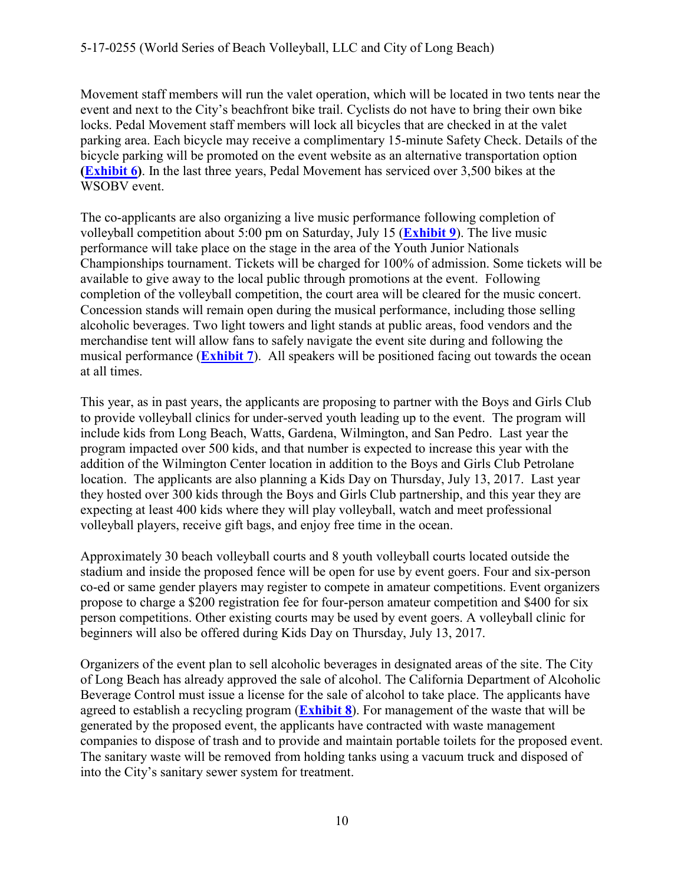Movement staff members will run the valet operation, which will be located in two tents near the event and next to the City's beachfront bike trail. Cyclists do not have to bring their own bike locks. Pedal Movement staff members will lock all bicycles that are checked in at the valet parking area. Each bicycle may receive a complimentary 15-minute Safety Check. Details of the bicycle parking will be promoted on the event website as an alternative transportation option **[\(Exhibit 6\)](https://documents.coastal.ca.gov/reports/2017/5/F16e/F16e-5-2017-exhibits.pdf)**. In the last three years, Pedal Movement has serviced over 3,500 bikes at the WSOBV event.

The co-applicants are also organizing a live music performance following completion of volleyball competition about 5:00 pm on Saturday, July 15 (**[Exhibit 9](https://documents.coastal.ca.gov/reports/2017/5/F16e/F16e-5-2017-exhibits.pdf)**). The live music performance will take place on the stage in the area of the Youth Junior Nationals Championships tournament. Tickets will be charged for 100% of admission. Some tickets will be available to give away to the local public through promotions at the event. Following completion of the volleyball competition, the court area will be cleared for the music concert. Concession stands will remain open during the musical performance, including those selling alcoholic beverages. Two light towers and light stands at public areas, food vendors and the merchandise tent will allow fans to safely navigate the event site during and following the musical performance (**[Exhibit 7](https://documents.coastal.ca.gov/reports/2017/5/F16e/F16e-5-2017-exhibits.pdf)**). All speakers will be positioned facing out towards the ocean at all times.

This year, as in past years, the applicants are proposing to partner with the Boys and Girls Club to provide volleyball clinics for under-served youth leading up to the event. The program will include kids from Long Beach, Watts, Gardena, Wilmington, and San Pedro. Last year the program impacted over 500 kids, and that number is expected to increase this year with the addition of the Wilmington Center location in addition to the Boys and Girls Club Petrolane location. The applicants are also planning a Kids Day on Thursday, July 13, 2017. Last year they hosted over 300 kids through the Boys and Girls Club partnership, and this year they are expecting at least 400 kids where they will play volleyball, watch and meet professional volleyball players, receive gift bags, and enjoy free time in the ocean.

Approximately 30 beach volleyball courts and 8 youth volleyball courts located outside the stadium and inside the proposed fence will be open for use by event goers. Four and six-person co-ed or same gender players may register to compete in amateur competitions. Event organizers propose to charge a \$200 registration fee for four-person amateur competition and \$400 for six person competitions. Other existing courts may be used by event goers. A volleyball clinic for beginners will also be offered during Kids Day on Thursday, July 13, 2017.

Organizers of the event plan to sell alcoholic beverages in designated areas of the site. The City of Long Beach has already approved the sale of alcohol. The California Department of Alcoholic Beverage Control must issue a license for the sale of alcohol to take place. The applicants have agreed to establish a recycling program (**[Exhibit 8](https://documents.coastal.ca.gov/reports/2017/5/F16e/F16e-5-2017-exhibits.pdf)**). For management of the waste that will be generated by the proposed event, the applicants have contracted with waste management companies to dispose of trash and to provide and maintain portable toilets for the proposed event. The sanitary waste will be removed from holding tanks using a vacuum truck and disposed of into the City's sanitary sewer system for treatment.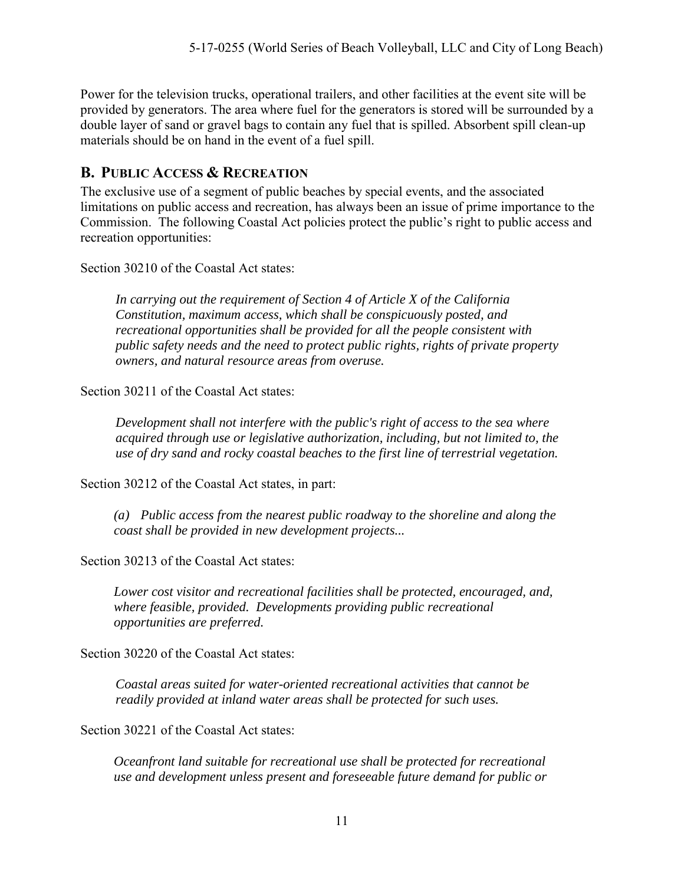Power for the television trucks, operational trailers, and other facilities at the event site will be provided by generators. The area where fuel for the generators is stored will be surrounded by a double layer of sand or gravel bags to contain any fuel that is spilled. Absorbent spill clean-up materials should be on hand in the event of a fuel spill.

#### <span id="page-10-0"></span>**B. PUBLIC ACCESS & RECREATION**

The exclusive use of a segment of public beaches by special events, and the associated limitations on public access and recreation, has always been an issue of prime importance to the Commission. The following Coastal Act policies protect the public's right to public access and recreation opportunities:

Section 30210 of the Coastal Act states:

 *In carrying out the requirement of Section 4 of Article X of the California Constitution, maximum access, which shall be conspicuously posted, and recreational opportunities shall be provided for all the people consistent with public safety needs and the need to protect public rights, rights of private property owners, and natural resource areas from overuse.* 

Section 30211 of the Coastal Act states:

 *Development shall not interfere with the public's right of access to the sea where acquired through use or legislative authorization, including, but not limited to, the use of dry sand and rocky coastal beaches to the first line of terrestrial vegetation.* 

Section 30212 of the Coastal Act states, in part:

*(a) Public access from the nearest public roadway to the shoreline and along the coast shall be provided in new development projects...* 

Section 30213 of the Coastal Act states:

*Lower cost visitor and recreational facilities shall be protected, encouraged, and, where feasible, provided. Developments providing public recreational opportunities are preferred.* 

Section 30220 of the Coastal Act states:

 *Coastal areas suited for water-oriented recreational activities that cannot be readily provided at inland water areas shall be protected for such uses.* 

Section 30221 of the Coastal Act states:

*Oceanfront land suitable for recreational use shall be protected for recreational use and development unless present and foreseeable future demand for public or*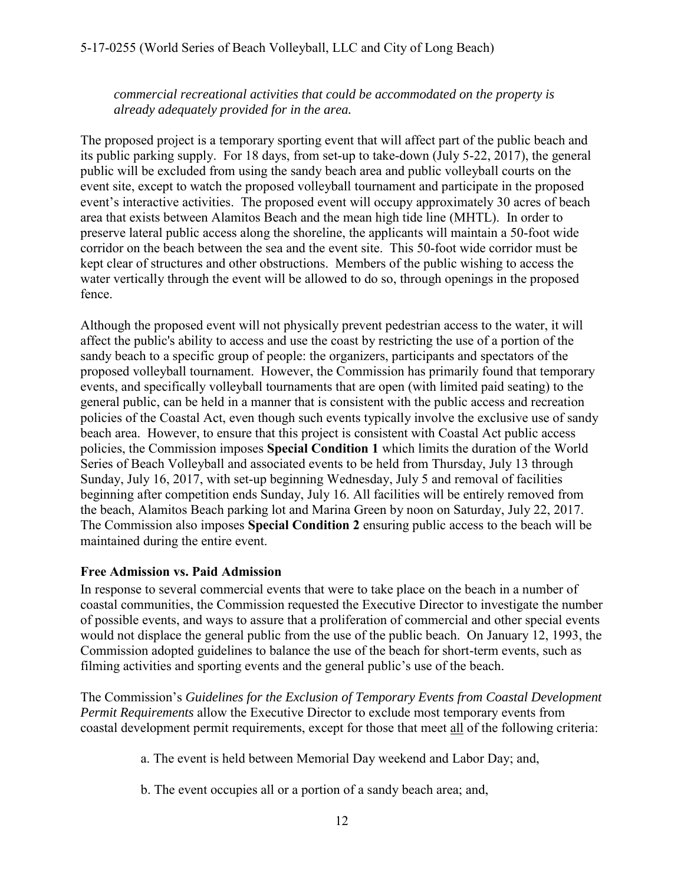#### 5-17-0255 (World Series of Beach Volleyball, LLC and City of Long Beach)

*commercial recreational activities that could be accommodated on the property is already adequately provided for in the area.* 

The proposed project is a temporary sporting event that will affect part of the public beach and its public parking supply. For 18 days, from set-up to take-down (July 5-22, 2017), the general public will be excluded from using the sandy beach area and public volleyball courts on the event site, except to watch the proposed volleyball tournament and participate in the proposed event's interactive activities. The proposed event will occupy approximately 30 acres of beach area that exists between Alamitos Beach and the mean high tide line (MHTL). In order to preserve lateral public access along the shoreline, the applicants will maintain a 50-foot wide corridor on the beach between the sea and the event site. This 50-foot wide corridor must be kept clear of structures and other obstructions. Members of the public wishing to access the water vertically through the event will be allowed to do so, through openings in the proposed fence.

Although the proposed event will not physically prevent pedestrian access to the water, it will affect the public's ability to access and use the coast by restricting the use of a portion of the sandy beach to a specific group of people: the organizers, participants and spectators of the proposed volleyball tournament. However, the Commission has primarily found that temporary events, and specifically volleyball tournaments that are open (with limited paid seating) to the general public, can be held in a manner that is consistent with the public access and recreation policies of the Coastal Act, even though such events typically involve the exclusive use of sandy beach area. However, to ensure that this project is consistent with Coastal Act public access policies, the Commission imposes **Special Condition 1** which limits the duration of the World Series of Beach Volleyball and associated events to be held from Thursday, July 13 through Sunday, July 16, 2017, with set-up beginning Wednesday, July 5 and removal of facilities beginning after competition ends Sunday, July 16. All facilities will be entirely removed from the beach, Alamitos Beach parking lot and Marina Green by noon on Saturday, July 22, 2017. The Commission also imposes **Special Condition 2** ensuring public access to the beach will be maintained during the entire event.

#### **Free Admission vs. Paid Admission**

In response to several commercial events that were to take place on the beach in a number of coastal communities, the Commission requested the Executive Director to investigate the number of possible events, and ways to assure that a proliferation of commercial and other special events would not displace the general public from the use of the public beach. On January 12, 1993, the Commission adopted guidelines to balance the use of the beach for short-term events, such as filming activities and sporting events and the general public's use of the beach.

The Commission's *Guidelines for the Exclusion of Temporary Events from Coastal Development Permit Requirements* allow the Executive Director to exclude most temporary events from coastal development permit requirements, except for those that meet all of the following criteria:

- a. The event is held between Memorial Day weekend and Labor Day; and,
- b. The event occupies all or a portion of a sandy beach area; and,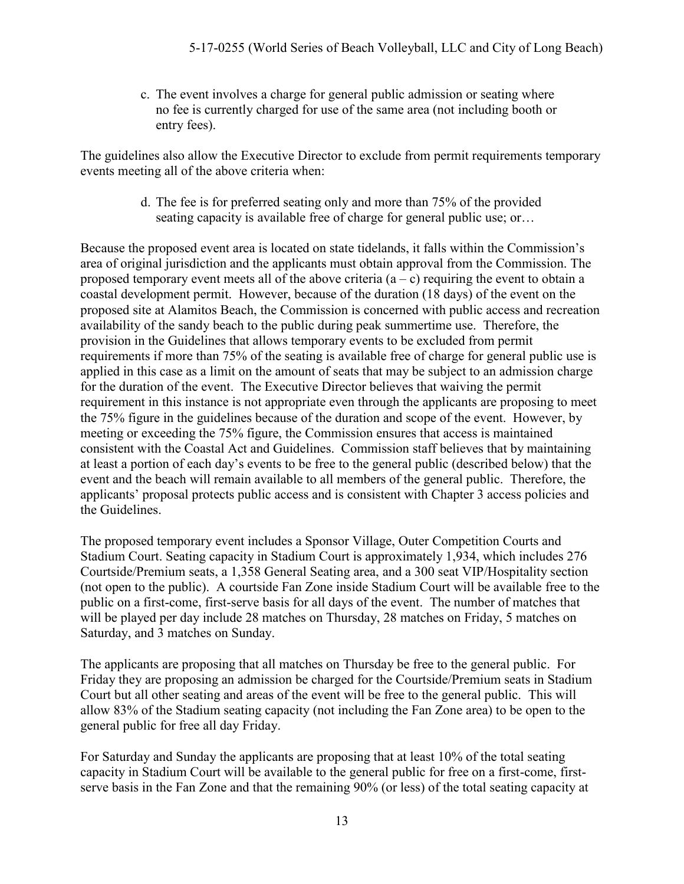c. The event involves a charge for general public admission or seating where no fee is currently charged for use of the same area (not including booth or entry fees).

The guidelines also allow the Executive Director to exclude from permit requirements temporary events meeting all of the above criteria when:

> d. The fee is for preferred seating only and more than 75% of the provided seating capacity is available free of charge for general public use; or…

Because the proposed event area is located on state tidelands, it falls within the Commission's area of original jurisdiction and the applicants must obtain approval from the Commission. The proposed temporary event meets all of the above criteria  $(a - c)$  requiring the event to obtain a coastal development permit. However, because of the duration (18 days) of the event on the proposed site at Alamitos Beach, the Commission is concerned with public access and recreation availability of the sandy beach to the public during peak summertime use. Therefore, the provision in the Guidelines that allows temporary events to be excluded from permit requirements if more than 75% of the seating is available free of charge for general public use is applied in this case as a limit on the amount of seats that may be subject to an admission charge for the duration of the event. The Executive Director believes that waiving the permit requirement in this instance is not appropriate even through the applicants are proposing to meet the 75% figure in the guidelines because of the duration and scope of the event. However, by meeting or exceeding the 75% figure, the Commission ensures that access is maintained consistent with the Coastal Act and Guidelines. Commission staff believes that by maintaining at least a portion of each day's events to be free to the general public (described below) that the event and the beach will remain available to all members of the general public. Therefore, the applicants' proposal protects public access and is consistent with Chapter 3 access policies and the Guidelines.

The proposed temporary event includes a Sponsor Village, Outer Competition Courts and Stadium Court. Seating capacity in Stadium Court is approximately 1,934, which includes 276 Courtside/Premium seats, a 1,358 General Seating area, and a 300 seat VIP/Hospitality section (not open to the public). A courtside Fan Zone inside Stadium Court will be available free to the public on a first-come, first-serve basis for all days of the event. The number of matches that will be played per day include 28 matches on Thursday, 28 matches on Friday, 5 matches on Saturday, and 3 matches on Sunday.

The applicants are proposing that all matches on Thursday be free to the general public. For Friday they are proposing an admission be charged for the Courtside/Premium seats in Stadium Court but all other seating and areas of the event will be free to the general public. This will allow 83% of the Stadium seating capacity (not including the Fan Zone area) to be open to the general public for free all day Friday.

For Saturday and Sunday the applicants are proposing that at least 10% of the total seating capacity in Stadium Court will be available to the general public for free on a first-come, firstserve basis in the Fan Zone and that the remaining 90% (or less) of the total seating capacity at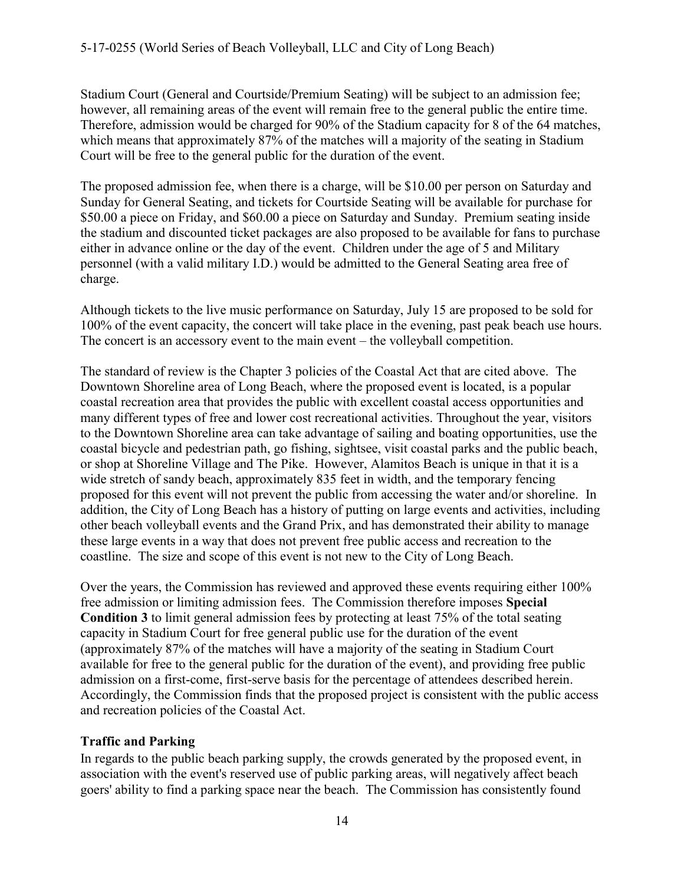Stadium Court (General and Courtside/Premium Seating) will be subject to an admission fee; however, all remaining areas of the event will remain free to the general public the entire time. Therefore, admission would be charged for 90% of the Stadium capacity for 8 of the 64 matches, which means that approximately 87% of the matches will a majority of the seating in Stadium Court will be free to the general public for the duration of the event.

The proposed admission fee, when there is a charge, will be \$10.00 per person on Saturday and Sunday for General Seating, and tickets for Courtside Seating will be available for purchase for \$50.00 a piece on Friday, and \$60.00 a piece on Saturday and Sunday. Premium seating inside the stadium and discounted ticket packages are also proposed to be available for fans to purchase either in advance online or the day of the event. Children under the age of 5 and Military personnel (with a valid military I.D.) would be admitted to the General Seating area free of charge.

Although tickets to the live music performance on Saturday, July 15 are proposed to be sold for 100% of the event capacity, the concert will take place in the evening, past peak beach use hours. The concert is an accessory event to the main event – the volleyball competition.

The standard of review is the Chapter 3 policies of the Coastal Act that are cited above. The Downtown Shoreline area of Long Beach, where the proposed event is located, is a popular coastal recreation area that provides the public with excellent coastal access opportunities and many different types of free and lower cost recreational activities. Throughout the year, visitors to the Downtown Shoreline area can take advantage of sailing and boating opportunities, use the coastal bicycle and pedestrian path, go fishing, sightsee, visit coastal parks and the public beach, or shop at Shoreline Village and The Pike. However, Alamitos Beach is unique in that it is a wide stretch of sandy beach, approximately 835 feet in width, and the temporary fencing proposed for this event will not prevent the public from accessing the water and/or shoreline. In addition, the City of Long Beach has a history of putting on large events and activities, including other beach volleyball events and the Grand Prix, and has demonstrated their ability to manage these large events in a way that does not prevent free public access and recreation to the coastline. The size and scope of this event is not new to the City of Long Beach.

Over the years, the Commission has reviewed and approved these events requiring either 100% free admission or limiting admission fees. The Commission therefore imposes **Special Condition 3** to limit general admission fees by protecting at least 75% of the total seating capacity in Stadium Court for free general public use for the duration of the event (approximately 87% of the matches will have a majority of the seating in Stadium Court available for free to the general public for the duration of the event), and providing free public admission on a first-come, first-serve basis for the percentage of attendees described herein. Accordingly, the Commission finds that the proposed project is consistent with the public access and recreation policies of the Coastal Act.

#### **Traffic and Parking**

In regards to the public beach parking supply, the crowds generated by the proposed event, in association with the event's reserved use of public parking areas, will negatively affect beach goers' ability to find a parking space near the beach. The Commission has consistently found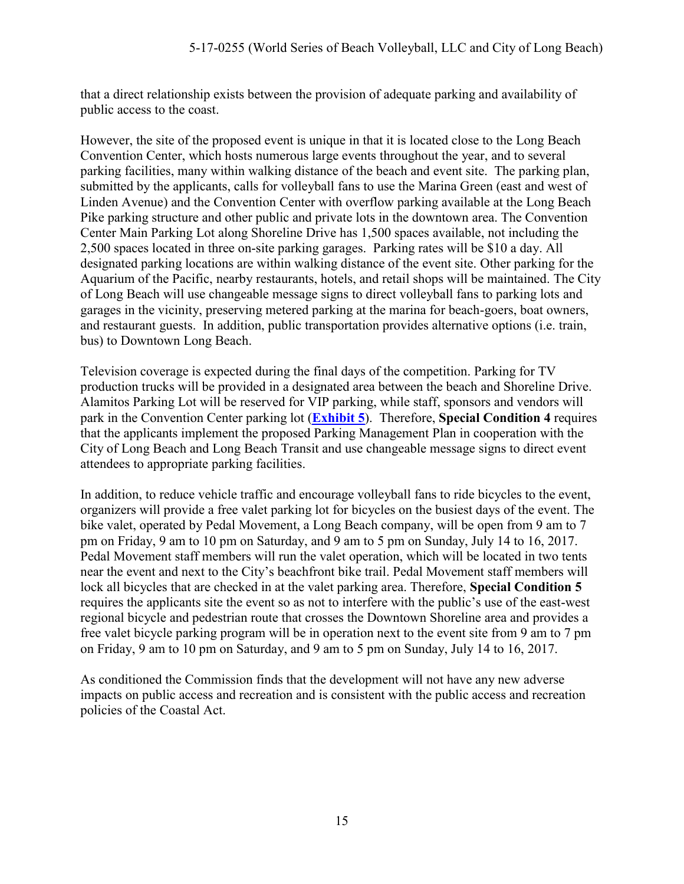that a direct relationship exists between the provision of adequate parking and availability of public access to the coast.

However, the site of the proposed event is unique in that it is located close to the Long Beach Convention Center, which hosts numerous large events throughout the year, and to several parking facilities, many within walking distance of the beach and event site. The parking plan, submitted by the applicants, calls for volleyball fans to use the Marina Green (east and west of Linden Avenue) and the Convention Center with overflow parking available at the Long Beach Pike parking structure and other public and private lots in the downtown area. The Convention Center Main Parking Lot along Shoreline Drive has 1,500 spaces available, not including the 2,500 spaces located in three on-site parking garages. Parking rates will be \$10 a day. All designated parking locations are within walking distance of the event site. Other parking for the Aquarium of the Pacific, nearby restaurants, hotels, and retail shops will be maintained. The City of Long Beach will use changeable message signs to direct volleyball fans to parking lots and garages in the vicinity, preserving metered parking at the marina for beach-goers, boat owners, and restaurant guests. In addition, public transportation provides alternative options (i.e. train, bus) to Downtown Long Beach.

Television coverage is expected during the final days of the competition. Parking for TV production trucks will be provided in a designated area between the beach and Shoreline Drive. Alamitos Parking Lot will be reserved for VIP parking, while staff, sponsors and vendors will park in the Convention Center parking lot (**[Exhibit 5](https://documents.coastal.ca.gov/reports/2017/5/F16e/F16e-5-2017-exhibits.pdf)**). Therefore, **Special Condition 4** requires that the applicants implement the proposed Parking Management Plan in cooperation with the City of Long Beach and Long Beach Transit and use changeable message signs to direct event attendees to appropriate parking facilities.

In addition, to reduce vehicle traffic and encourage volleyball fans to ride bicycles to the event, organizers will provide a free valet parking lot for bicycles on the busiest days of the event. The bike valet, operated by Pedal Movement, a Long Beach company, will be open from 9 am to 7 pm on Friday, 9 am to 10 pm on Saturday, and 9 am to 5 pm on Sunday, July 14 to 16, 2017. Pedal Movement staff members will run the valet operation, which will be located in two tents near the event and next to the City's beachfront bike trail. Pedal Movement staff members will lock all bicycles that are checked in at the valet parking area. Therefore, **Special Condition 5** requires the applicants site the event so as not to interfere with the public's use of the east-west regional bicycle and pedestrian route that crosses the Downtown Shoreline area and provides a free valet bicycle parking program will be in operation next to the event site from 9 am to 7 pm on Friday, 9 am to 10 pm on Saturday, and 9 am to 5 pm on Sunday, July 14 to 16, 2017.

<span id="page-14-0"></span>As conditioned the Commission finds that the development will not have any new adverse impacts on public access and recreation and is consistent with the public access and recreation policies of the Coastal Act.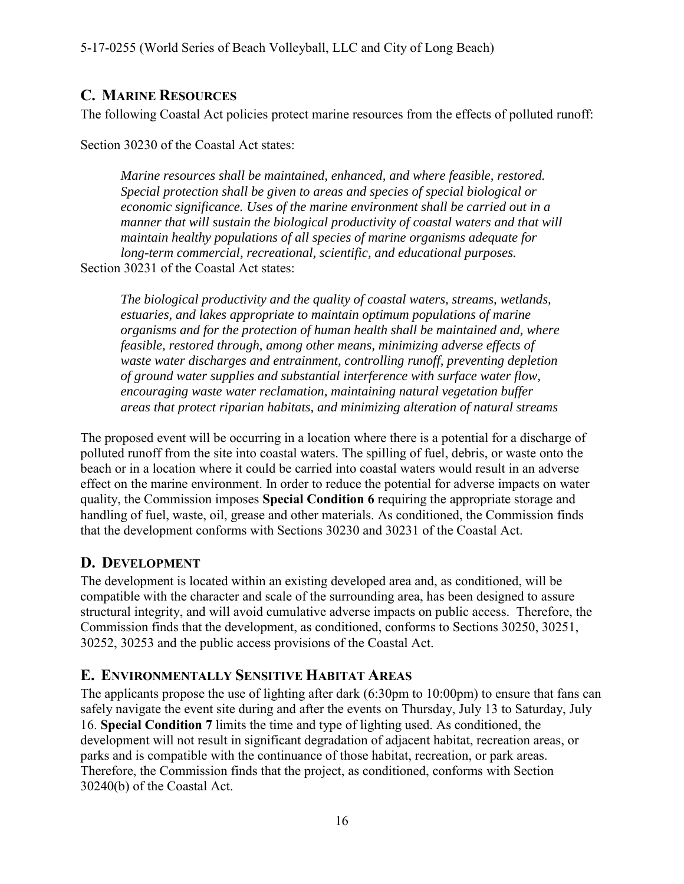# **C. MARINE RESOURCES**

The following Coastal Act policies protect marine resources from the effects of polluted runoff:

Section 30230 of the Coastal Act states:

*Marine resources shall be maintained, enhanced, and where feasible, restored. Special protection shall be given to areas and species of special biological or economic significance. Uses of the marine environment shall be carried out in a manner that will sustain the biological productivity of coastal waters and that will maintain healthy populations of all species of marine organisms adequate for long-term commercial, recreational, scientific, and educational purposes.*  Section 30231 of the Coastal Act states:

*The biological productivity and the quality of coastal waters, streams, wetlands, estuaries, and lakes appropriate to maintain optimum populations of marine organisms and for the protection of human health shall be maintained and, where feasible, restored through, among other means, minimizing adverse effects of waste water discharges and entrainment, controlling runoff, preventing depletion of ground water supplies and substantial interference with surface water flow, encouraging waste water reclamation, maintaining natural vegetation buffer areas that protect riparian habitats, and minimizing alteration of natural streams* 

The proposed event will be occurring in a location where there is a potential for a discharge of polluted runoff from the site into coastal waters. The spilling of fuel, debris, or waste onto the beach or in a location where it could be carried into coastal waters would result in an adverse effect on the marine environment. In order to reduce the potential for adverse impacts on water quality, the Commission imposes **Special Condition 6** requiring the appropriate storage and handling of fuel, waste, oil, grease and other materials. As conditioned, the Commission finds that the development conforms with Sections 30230 and 30231 of the Coastal Act.

# <span id="page-15-0"></span>**D. DEVELOPMENT**

The development is located within an existing developed area and, as conditioned, will be compatible with the character and scale of the surrounding area, has been designed to assure structural integrity, and will avoid cumulative adverse impacts on public access. Therefore, the Commission finds that the development, as conditioned, conforms to Sections 30250, 30251, 30252, 30253 and the public access provisions of the Coastal Act.

# <span id="page-15-1"></span>**E. ENVIRONMENTALLY SENSITIVE HABITAT AREAS**

The applicants propose the use of lighting after dark (6:30pm to 10:00pm) to ensure that fans can safely navigate the event site during and after the events on Thursday, July 13 to Saturday, July 16. **Special Condition 7** limits the time and type of lighting used. As conditioned, the development will not result in significant degradation of adjacent habitat, recreation areas, or parks and is compatible with the continuance of those habitat, recreation, or park areas. Therefore, the Commission finds that the project, as conditioned, conforms with Section 30240(b) of the Coastal Act.